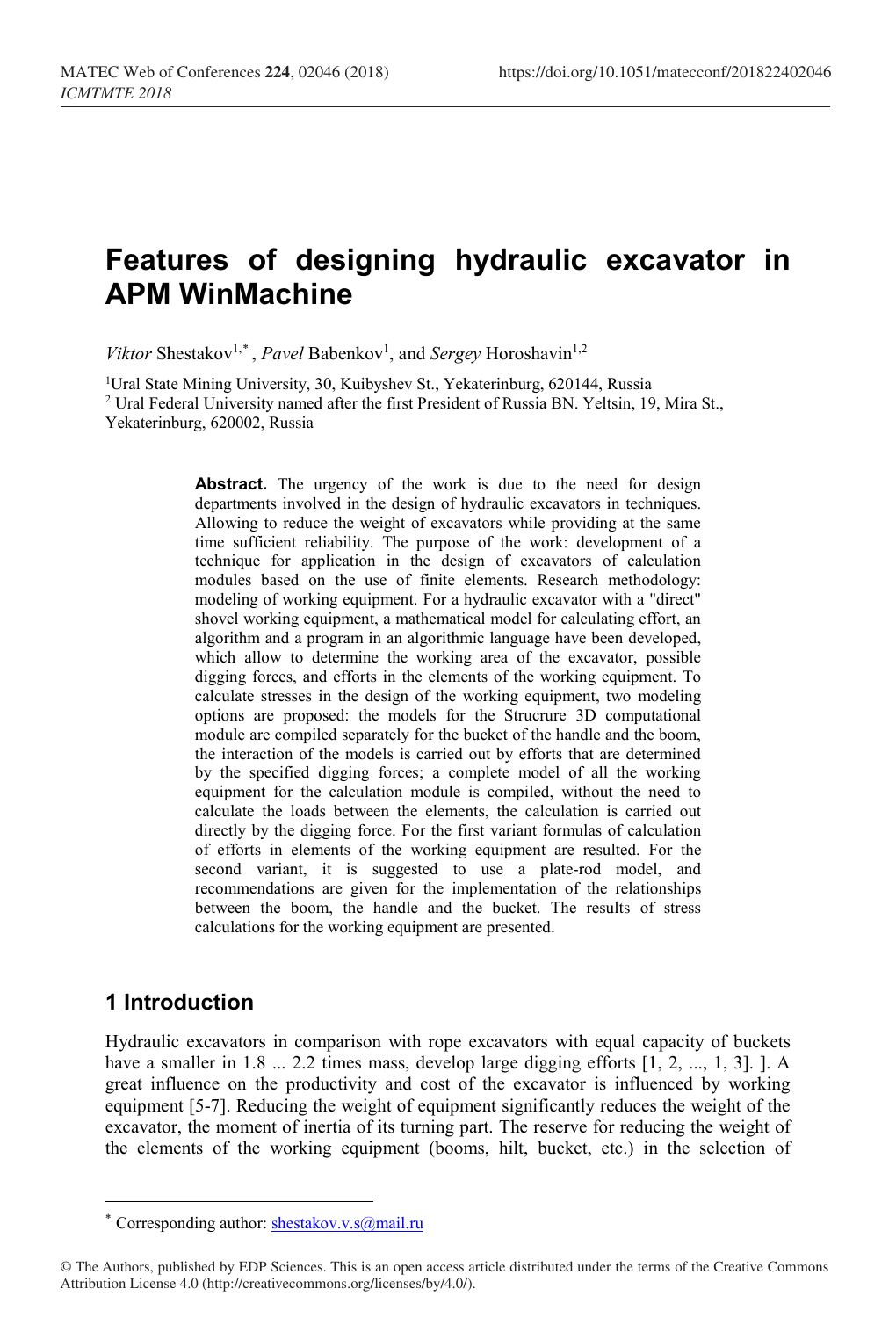# **Features of designing hydraulic excavator in APM WinMachine**

Viktor Shestakov<sup>1,\*</sup>, *Pavel* Babenkov<sup>1</sup>, and *Sergey* Horoshavin<sup>1,2</sup>

<sup>1</sup>Ural State Mining University, 30, Kuibyshev St., Yekaterinburg, 620144, Russia <sup>2</sup> Ural Federal University named after the first President of Russia BN. Yeltsin, 19, Mira St., Yekaterinburg, 620002, Russia

> Abstract. The urgency of the work is due to the need for design departments involved in the design of hydraulic excavators in techniques. Allowing to reduce the weight of excavators while providing at the same time sufficient reliability. The purpose of the work: development of a technique for application in the design of excavators of calculation modules based on the use of finite elements. Research methodology: modeling of working equipment. For a hydraulic excavator with a "direct" shovel working equipment, a mathematical model for calculating effort, an algorithm and a program in an algorithmic language have been developed, which allow to determine the working area of the excavator, possible digging forces, and efforts in the elements of the working equipment. To calculate stresses in the design of the working equipment, two modeling options are proposed: the models for the Strucrure 3D computational module are compiled separately for the bucket of the handle and the boom, the interaction of the models is carried out by efforts that are determined by the specified digging forces; a complete model of all the working equipment for the calculation module is compiled, without the need to calculate the loads between the elements, the calculation is carried out directly by the digging force. For the first variant formulas of calculation of efforts in elements of the working equipment are resulted. For the second variant, it is suggested to use a plate-rod model, and recommendations are given for the implementation of the relationships between the boom, the handle and the bucket. The results of stress calculations for the working equipment are presented.

# **1 Introduction**

 $\overline{a}$ 

Hydraulic excavators in comparison with rope excavators with equal capacity of buckets have a smaller in 1.8 ... 2.2 times mass, develop large digging efforts [1, 2, ..., 1, 3]. ]. A great influence on the productivity and cost of the excavator is influenced by working equipment [5-7]. Reducing the weight of equipment significantly reduces the weight of the excavator, the moment of inertia of its turning part. The reserve for reducing the weight of the elements of the working equipment (booms, hilt, bucket, etc.) in the selection of

<sup>\*</sup> Corresponding author: [shestakov.v.s@mail.ru](mailto:shestakov.v.s@mail.ru) 

<span id="page-0-0"></span><sup>©</sup> The Authors, published by EDP Sciences. This is an open access article distributed under the terms of the Creative Commons Attribution License 4.0 (http://creativecommons.org/licenses/by/4.0/).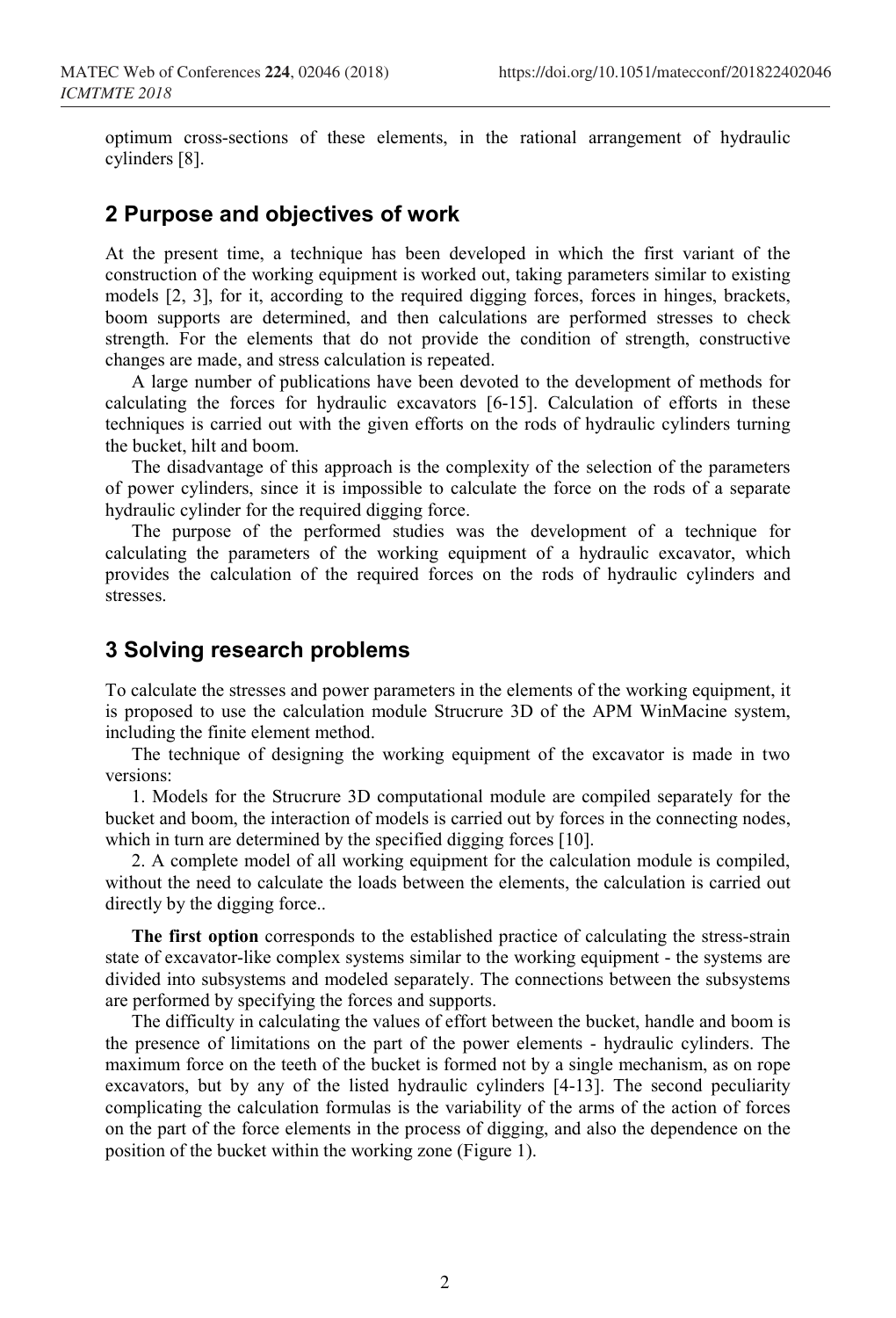optimum cross-sections of these elements, in the rational arrangement of hydraulic cylinders [8].

## **2 Purpose and objectives of work**

At the present time, a technique has been developed in which the first variant of the construction of the working equipment is worked out, taking parameters similar to existing models [2, 3], for it, according to the required digging forces, forces in hinges, brackets, boom supports are determined, and then calculations are performed stresses to check strength. For the elements that do not provide the condition of strength, constructive changes are made, and stress calculation is repeated.

A large number of publications have been devoted to the development of methods for calculating the forces for hydraulic excavators [6-15]. Calculation of efforts in these techniques is carried out with the given efforts on the rods of hydraulic cylinders turning the bucket, hilt and boom.

The disadvantage of this approach is the complexity of the selection of the parameters of power cylinders, since it is impossible to calculate the force on the rods of a separate hydraulic cylinder for the required digging force.

The purpose of the performed studies was the development of a technique for calculating the parameters of the working equipment of a hydraulic excavator, which provides the calculation of the required forces on the rods of hydraulic cylinders and stresses.

## **3 Solving research problems**

To calculate the stresses and power parameters in the elements of the working equipment, it is proposed to use the calculation module Strucrure 3D of the APM WinMacine system, including the finite element method.

The technique of designing the working equipment of the excavator is made in two versions:

1. Models for the Strucrure 3D computational module are compiled separately for the bucket and boom, the interaction of models is carried out by forces in the connecting nodes, which in turn are determined by the specified digging forces [10].

2. A complete model of all working equipment for the calculation module is compiled, without the need to calculate the loads between the elements, the calculation is carried out directly by the digging force..

**The first option** corresponds to the established practice of calculating the stress-strain state of excavator-like complex systems similar to the working equipment - the systems are divided into subsystems and modeled separately. The connections between the subsystems are performed by specifying the forces and supports.

The difficulty in calculating the values of effort between the bucket, handle and boom is the presence of limitations on the part of the power elements - hydraulic cylinders. The maximum force on the teeth of the bucket is formed not by a single mechanism, as on rope excavators, but by any of the listed hydraulic cylinders [4-13]. The second peculiarity complicating the calculation formulas is the variability of the arms of the action of forces on the part of the force elements in the process of digging, and also the dependence on the position of the bucket within the working zone (Figure 1).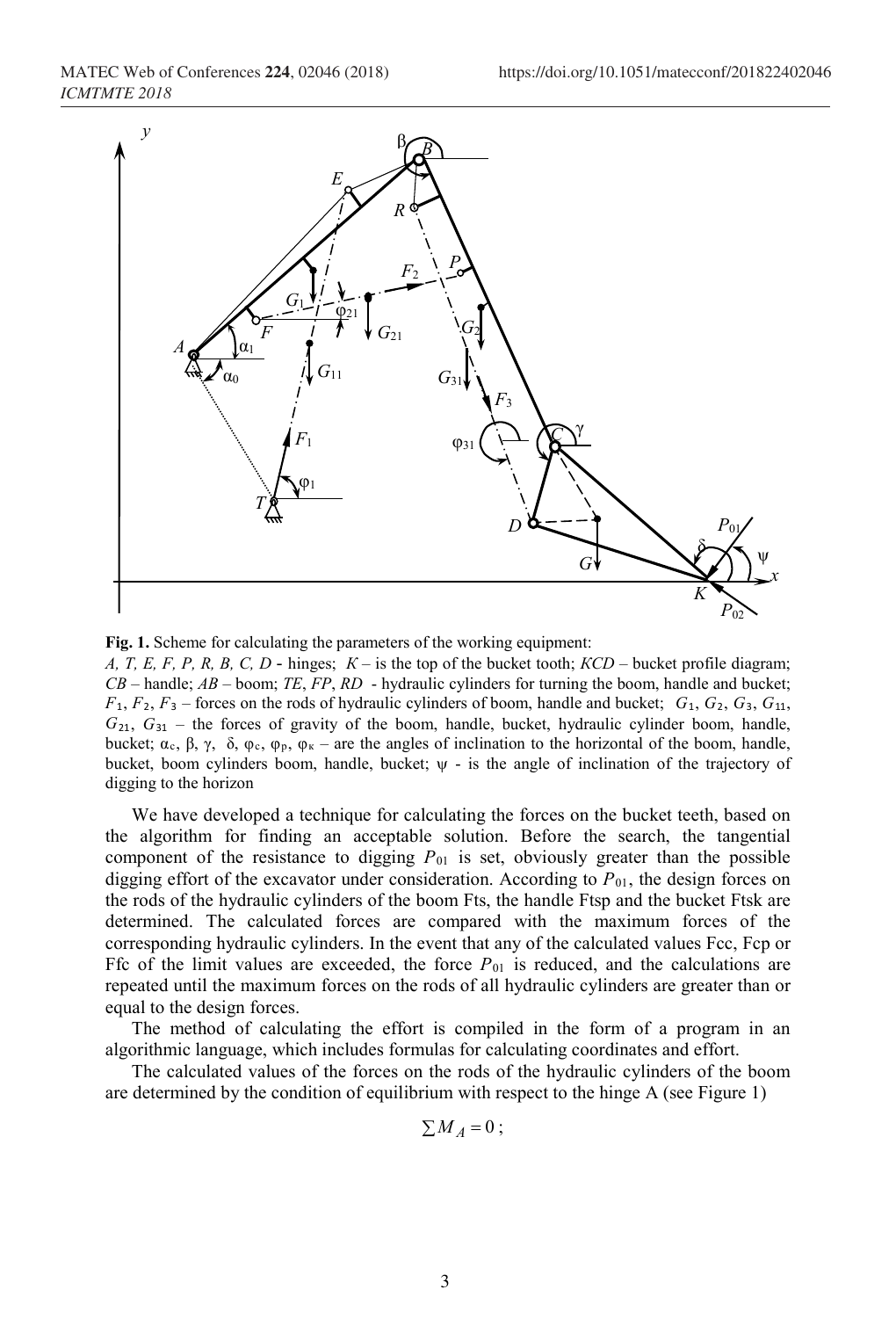MATEC Web of Conferences **224**, 02046 (2018) https://doi.org/10.1051/matecconf/201822402046 *ICMTMTE 2018*



**Fig. 1.** Scheme for calculating the parameters of the working equipment:

*А, Т, E, F, P, R, B, C, D* - hinges; *К* – is the top of the bucket tooth; *КСD* – bucket profile diagram; *CB* – handle; *AB* – boom; *ТЕ*, *FP*, *RD* - hydraulic cylinders for turning the boom, handle and bucket;  $F_1, F_2, F_3$  – forces on the rods of hydraulic cylinders of boom, handle and bucket;  $G_1, G_2, G_3, G_{11}$ , *G*21, *G*<sup>31</sup> – the forces of gravity of the boom, handle, bucket, hydraulic cylinder boom, handle, bucket; α<sub>c</sub>, β, γ, δ, φ<sub>c</sub>, φ<sub>p</sub>, φ<sub>κ</sub> – are the angles of inclination to the horizontal of the boom, handle, bucket, boom cylinders boom, handle, bucket; ψ - is the angle of inclination of the trajectory of digging to the horizon

We have developed a technique for calculating the forces on the bucket teeth, based on the algorithm for finding an acceptable solution. Before the search, the tangential component of the resistance to digging  $P_{01}$  is set, obviously greater than the possible digging effort of the excavator under consideration. According to *P*01, the design forces on the rods of the hydraulic cylinders of the boom Fts, the handle Ftsp and the bucket Ftsk are determined. The calculated forces are compared with the maximum forces of the corresponding hydraulic cylinders. In the event that any of the calculated values Fcc, Fcp or Ffc of the limit values are exceeded, the force  $P_{01}$  is reduced, and the calculations are repeated until the maximum forces on the rods of all hydraulic cylinders are greater than or equal to the design forces.

The method of calculating the effort is compiled in the form of a program in an algorithmic language, which includes formulas for calculating coordinates and effort.

The calculated values of the forces on the rods of the hydraulic cylinders of the boom are determined by the condition of equilibrium with respect to the hinge A (see Figure 1)

$$
\sum M_A = 0 \; ;
$$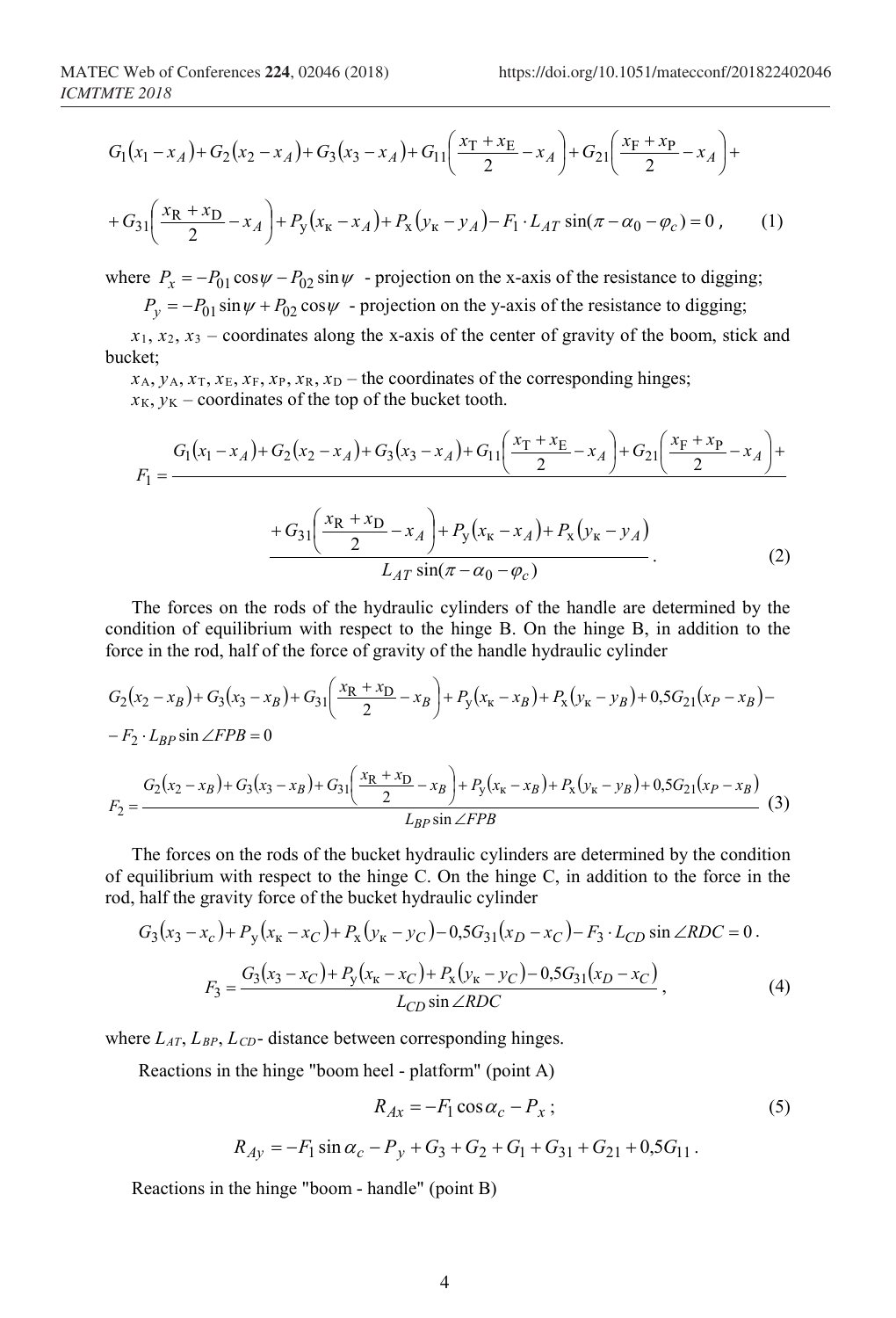$$
G_1(x_1 - x_A) + G_2(x_2 - x_A) + G_3(x_3 - x_A) + G_{11}\left(\frac{x_T + x_E}{2} - x_A\right) + G_{21}\left(\frac{x_F + x_P}{2} - x_A\right) +
$$

$$
+ G_{31} \left( \frac{x_{R} + x_{D}}{2} - x_{A} \right) + P_{y} \left( x_{K} - x_{A} \right) + P_{x} \left( y_{K} - y_{A} \right) - F_{1} \cdot L_{AT} \sin(\pi - \alpha_{0} - \varphi_{c}) = 0 , \qquad (1)
$$

where  $P_x = -P_{01} \cos \psi - P_{02} \sin \psi$  - projection on the x-axis of the resistance to digging;

 $P_v = -P_{01} \sin \psi + P_{02} \cos \psi$  - projection on the y-axis of the resistance to digging;

 $x_1, x_2, x_3$  – coordinates along the x-axis of the center of gravity of the boom, stick and bucket;

 $x_A, y_A, x_T, x_E, x_F, x_R, x_D$  – the coordinates of the corresponding hinges;  $x_K$ ,  $y_K$  – coordinates of the top of the bucket tooth.

$$
F_1 = \frac{G_1(x_1 - x_A) + G_2(x_2 - x_A) + G_3(x_3 - x_A) + G_{11}\left(\frac{x_T + x_E}{2} - x_A\right) + G_{21}\left(\frac{x_F + x_P}{2} - x_A\right) + G_{31}\left(\frac{x_R + x_D}{2} - x_A\right) + P_y(x_K - x_A) + P_x(y_K - y_A)
$$
  

$$
L_{AT} \sin(\pi - \alpha_0 - \varphi_c)
$$
 (2)

The forces on the rods of the hydraulic cylinders of the handle are determined by the condition of equilibrium with respect to the hinge B. On the hinge B, in addition to the force in the rod, half of the force of gravity of the handle hydraulic сylinder

$$
G_2(x_2 - x_B) + G_3(x_3 - x_B) + G_{31} \left( \frac{x_R + x_D}{2} - x_B \right) + P_y(x_R - x_B) + P_x(y_R - y_B) + 0.5G_{21}(x_P - x_B) -
$$
  
\n
$$
-F_2 \cdot L_{BP} \sin \angle FPB = 0
$$
  
\n
$$
F_2 = \frac{G_2(x_2 - x_B) + G_3(x_3 - x_B) + G_{31} \left( \frac{x_R + x_D}{2} - x_B \right) + P_y(x_R - x_B) + P_x(y_R - y_B) + 0.5G_{21}(x_P - x_B)}{L_{BP} \sin \angle FPB}
$$
(3)

The forces on the rods of the bucket hydraulic cylinders are determined by the condition of equilibrium with respect to the hinge C. On the hinge C, in addition to the force in the rod, half the gravity force of the bucket hydraulic cylinder

$$
G_3(x_3 - x_c) + P_y(x_{\kappa} - x_C) + P_x(y_{\kappa} - y_C) - 0.5G_{31}(x_D - x_C) - F_3 \cdot L_{CD} \sin \angle RDC = 0.
$$
  

$$
F_3 = \frac{G_3(x_3 - x_C) + P_y(x_{\kappa} - x_C) + P_x(y_{\kappa} - y_C) - 0.5G_{31}(x_D - x_C)}{L_{CD} \sin \angle RDC},
$$
 (4)

where *LAT*, *LBP*, *LCD*- distance between corresponding hinges.

Reactions in the hinge "boom heel - platform" (point A)

$$
R_{Ax} = -F_1 \cos \alpha_c - P_x \tag{5}
$$

$$
R_{Ay} = -F_1 \sin \alpha_c - P_y + G_3 + G_2 + G_1 + G_{31} + G_{21} + 0.5G_{11}.
$$

Reactions in the hinge "boom - handle" (point B)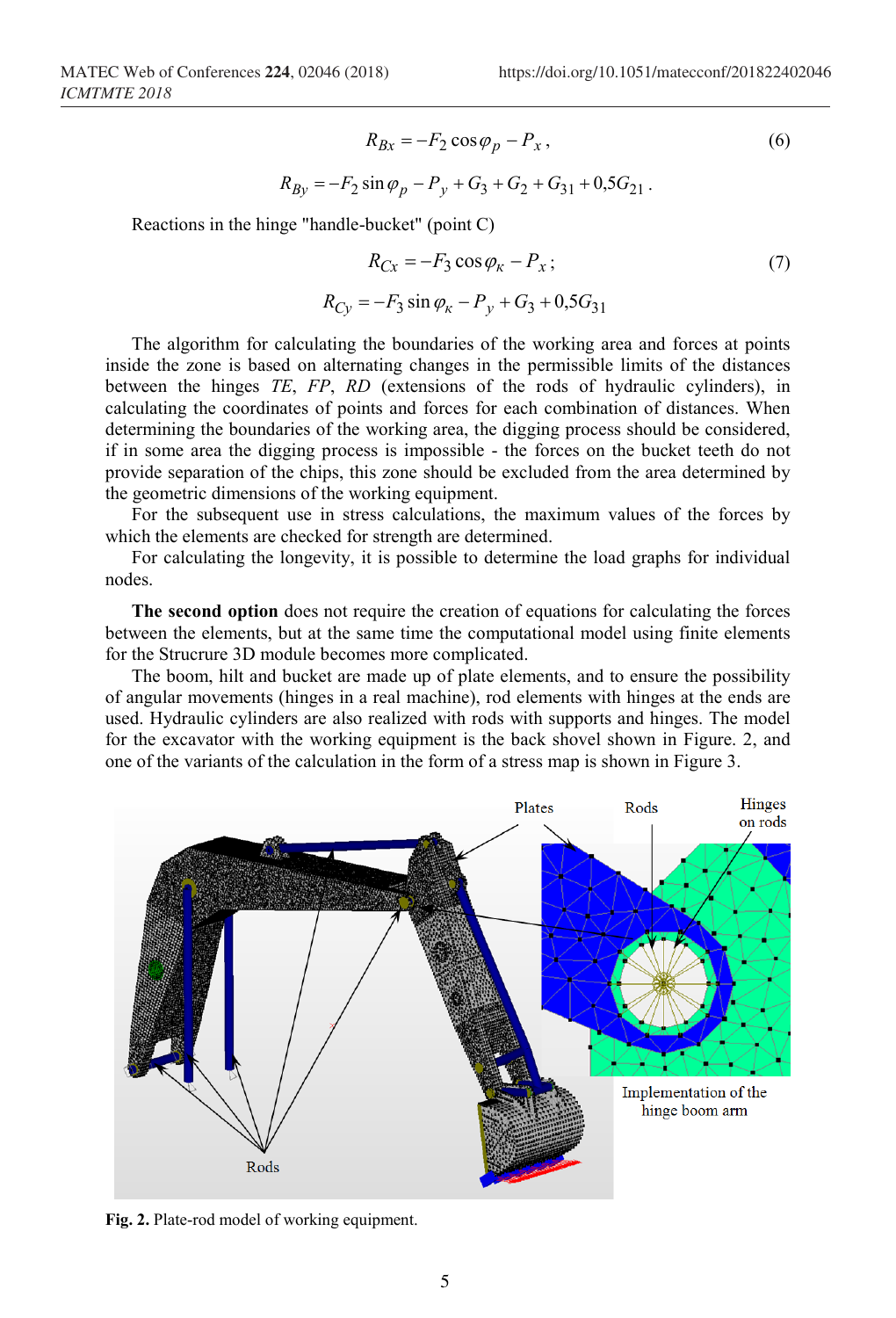$$
R_{Bx} = -F_2 \cos \varphi_p - P_x, \qquad (6)
$$
  

$$
R_{By} = -F_2 \sin \varphi_p - P_y + G_3 + G_2 + G_{31} + 0.5G_{21}.
$$

Reactions in the hinge "handle-bucket" (point C)

$$
R_{Cx} = -F_3 \cos \varphi_K - P_x; \tag{7}
$$
  

$$
R_{Cy} = -F_3 \sin \varphi_K - P_y + G_3 + 0.5G_{31}
$$

The algorithm for calculating the boundaries of the working area and forces at points inside the zone is based on alternating changes in the permissible limits of the distances between the hinges *ТЕ*, *FP*, *RD* (extensions of the rods of hydraulic cylinders), in calculating the coordinates of points and forces for each combination of distances. When determining the boundaries of the working area, the digging process should be considered, if in some area the digging process is impossible - the forces on the bucket teeth do not provide separation of the chips, this zone should be excluded from the area determined by the geometric dimensions of the working equipment.

For the subsequent use in stress calculations, the maximum values of the forces by which the elements are checked for strength are determined.

For calculating the longevity, it is possible to determine the load graphs for individual nodes.

**The second option** does not require the creation of equations for calculating the forces between the elements, but at the same time the computational model using finite elements for the Strucrure 3D module becomes more complicated.

The boom, hilt and bucket are made up of plate elements, and to ensure the possibility of angular movements (hinges in a real machine), rod elements with hinges at the ends are used. Hydraulic cylinders are also realized with rods with supports and hinges. The model for the excavator with the working equipment is the back shovel shown in Figure. 2, and one of the variants of the calculation in the form of a stress map is shown in Figure 3.



**Fig. 2.** Plate-rod model of working equipment.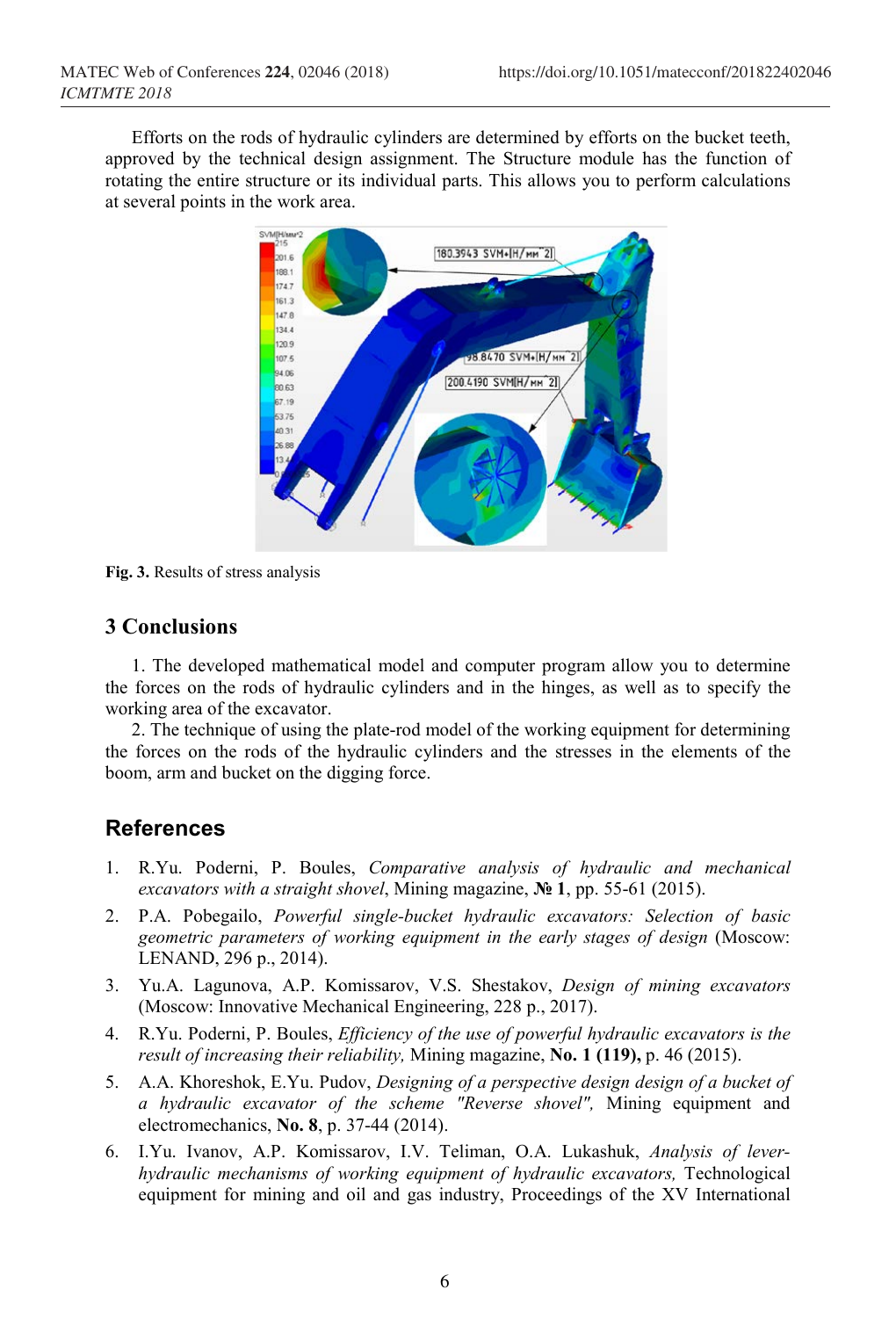Efforts on the rods of hydraulic cylinders are determined by efforts on the bucket teeth, approved by the technical design assignment. The Structure module has the function of rotating the entire structure or its individual parts. This allows you to perform calculations at several points in the work area.



**Fig. 3.** Results of stress analysis

### **3 Conclusions**

1. The developed mathematical model and computer program allow you to determine the forces on the rods of hydraulic cylinders and in the hinges, as well as to specify the working area of the excavator.

2. The technique of using the plate-rod model of the working equipment for determining the forces on the rods of the hydraulic cylinders and the stresses in the elements of the boom, arm and bucket on the digging force.

#### **References**

- 1. R.Yu. Poderni, P. Boules, *Comparative analysis of hydraulic and mechanical excavators with a straight shovel*, Mining magazine, **№ 1**, рр. 55-61 (2015).
- 2. P.A. Pobegailo, *Powerful single-bucket hydraulic excavators: Selection of basic geometric parameters of working equipment in the early stages of design* (Moscow: LENAND, 296 p., 2014).
- 3. Yu.A. Lagunova, A.P. Komissarov, V.S. Shestakov, *Design of mining excavators* (Moscow: Innovative Mechanical Engineering, 228 р., 2017).
- 4. R.Yu. Poderni, P. Boules, *Efficiency of the use of powerful hydraulic excavators is the result of increasing their reliability,* Mining magazine, **No. 1 (119),** р. 46 (2015).
- 5. A.A. Khoreshok, E.Yu. Pudov, *Designing of a perspective design design of a bucket of a hydraulic excavator of the scheme "Reverse shovel",* Mining equipment and electromechanics, **No. 8**, р. 37-44 (2014).
- 6. I.Yu. Ivanov, A.P. Komissarov, I.V. Teliman, O.A. Lukashuk, *Analysis of leverhydraulic mechanisms of working equipment of hydraulic excavators,* Technological equipment for mining and oil and gas industry, Proceedings of the XV International